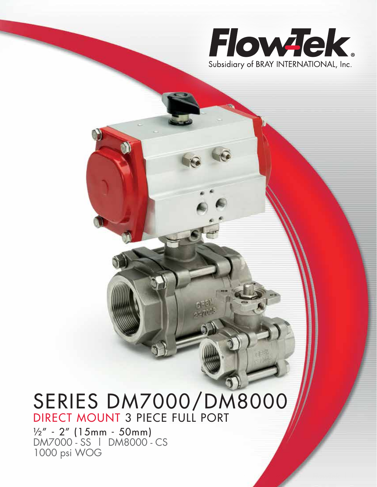

3 PIECE FULL PORT – DM7000/DM8000 | 1

# SERIES DM7000/DM8000 DIRECT MOUNT 3 PIECE FULL PORT

½" - 2" (15mm - 50mm) DM7000 - SS | DM8000 - CS 1000 psi WOG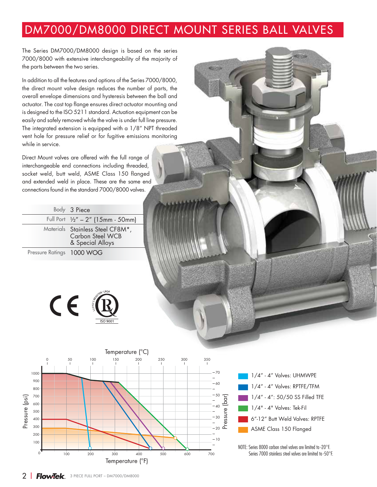## DM7000/DM8000 DIRECT MOUNT SERIES BALL VALVES

The Series DM7000/DM8000 design is based on the series 7000/8000 with extensive interchangeability of the majority of the parts between the two series.

In addition to all the features and options of the Series 7000/8000, the direct mount valve design reduces the number of parts, the overall envelope dimensions and hysteresis between the ball and actuator. The cast top flange ensures direct actuator mounting and is designed to the ISO 5211 standard. Actuation equipment can be easily and safely removed while the valve is under full line pressure. The integrated extension is equipped with a 1/8" NPT threaded vent hole for pressure relief or for fugitive emissions monitoring while in service.

Direct Mount valves are offered with the full range of interchangeable end connections including threaded, socket weld, butt weld, ASME Class 150 flanged and extended weld in place. These are the same end connections found in the standard 7000/8000 valves.

| Body 3 Piece                                                                    |
|---------------------------------------------------------------------------------|
| Full Port $\frac{1}{2}$ " – 2" (15mm - 50mm)                                    |
| Materials Stainless Steel CF8M*,<br><b>Carbon Steel WCB</b><br>& Special Alloys |
| Pressure Ratings 1000 WOG                                                       |
|                                                                                 |







NOTE: Series 8000 carbon steel valves are limited to -20°F.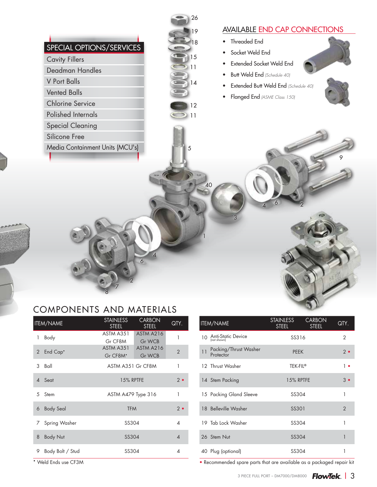| SPECIAL OPTIONS/SERVICES<br><b>Cavity Fillers</b><br>Deadman Handles<br>V Port Balls<br><b>Vented Balls</b> | 18<br>15<br>11<br>14 | <b>AVAILABLE END CAP CONNECTIONS</b><br>Threaded End<br>Socket Weld End<br>$\bullet$<br>Extended Socket Weld End<br>Butt Weld End (Schedule 40)<br>Extended Butt Weld End (Schedule 40) |
|-------------------------------------------------------------------------------------------------------------|----------------------|-----------------------------------------------------------------------------------------------------------------------------------------------------------------------------------------|
| <b>Chlorine Service</b><br>Polished Internals                                                               | 12<br>11             | Flanged End (ASME Class 150)                                                                                                                                                            |
| <b>Special Cleaning</b><br>Silicone Free                                                                    |                      |                                                                                                                                                                                         |
| Media Containment Units (MCU's)                                                                             | 5<br>40              |                                                                                                                                                                                         |
|                                                                                                             |                      |                                                                                                                                                                                         |

#### COMPONENTS AND MATERIALS

8

|                | ITEM/NAME            | <b>STAINLESS</b><br><b>STEEL</b>             | <b>CARBON</b><br><b>STEEL</b>                      | QTY.                     |  |  |
|----------------|----------------------|----------------------------------------------|----------------------------------------------------|--------------------------|--|--|
| 1              | Body                 | ASTM A351                                    | <b>ASTM A216</b>                                   | 1                        |  |  |
| $\overline{2}$ | End Cap <sup>*</sup> | Gr CF8M<br>ASTM A351<br>Gr CF8M <sup>*</sup> | <b>Gr WCB</b><br><b>ASTM A216</b><br><b>Gr WCB</b> | $\overline{2}$           |  |  |
| 3              | Ball                 | ASTM A351 Gr CF8M                            | 1                                                  |                          |  |  |
| 4 Seat         |                      | <b>15% RPTFE</b>                             |                                                    |                          |  |  |
| 5 Stem         |                      | ASTM A479 Type 316                           | 1                                                  |                          |  |  |
| 6              | <b>Body Seal</b>     | <b>TFM</b>                                   | $2 \bullet$                                        |                          |  |  |
| 7              | Spring Washer        | SS304                                        |                                                    | $\overline{4}$           |  |  |
| 8              | <b>Body Nut</b>      | <b>SS304</b>                                 |                                                    | $\overline{\mathcal{A}}$ |  |  |
| 9              | Body Bolt / Stud     | SS304                                        |                                                    | 4                        |  |  |

**•** Weld Ends use CF3M

| <b>ITEM/NAME</b>                               | <b>STAINLESS</b><br><b>STEEL</b> | <b>CARBON</b><br><b>STEEL</b> | QTY.        |  |  |  |
|------------------------------------------------|----------------------------------|-------------------------------|-------------|--|--|--|
| <b>Anti-Static Device</b><br>10<br>(not shown) | SS316                            |                               |             |  |  |  |
| Packing/Thrust Washer<br>11<br>Protector       | <b>PEEK</b>                      |                               |             |  |  |  |
| 12 Thrust Washer                               | TEK-FIL <sup>®</sup>             |                               | 1 ∙         |  |  |  |
| 14 Stem Packing                                | 15% RPTFE                        |                               | $3 \bullet$ |  |  |  |
| 15 Packing Gland Sleeve                        | SS304                            |                               | 1           |  |  |  |
| 18 Belleville Washer                           | SS301                            |                               | 2           |  |  |  |
| 19 Tab Lock Washer                             | SS304                            |                               | 1           |  |  |  |
| 26 Stem Nut                                    | SS304                            |                               | 1           |  |  |  |
| 40 Plug (optional)                             | SS304                            |                               | 1           |  |  |  |

• Recommended spare parts that are available as a packaged repair kit